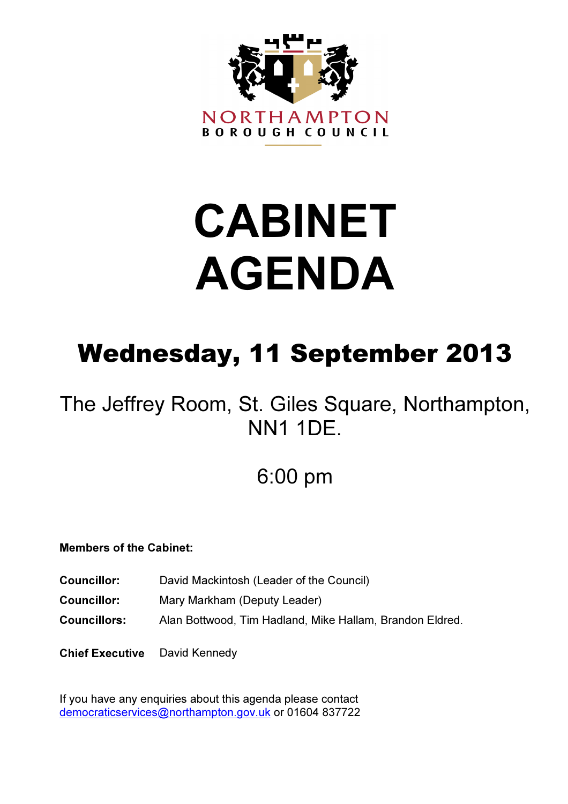

# CABINET AGENDA

# Wednesday, 11 September 2013

# The Jeffrey Room, St. Giles Square, Northampton, NN1 1DE.

# 6:00 pm

# Members of the Cabinet:

- Councillor: David Mackintosh (Leader of the Council)
- Councillor: Mary Markham (Deputy Leader)
- Councillors: Alan Bottwood, Tim Hadland, Mike Hallam, Brandon Eldred.

Chief Executive David Kennedy

If you have any enquiries about this agenda please contact democraticservices@northampton.gov.uk or 01604 837722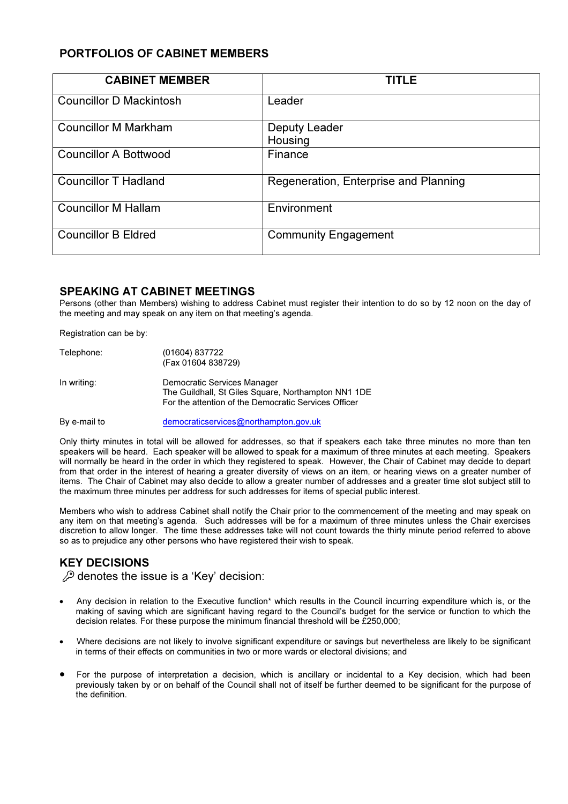# PORTFOLIOS OF CABINET MEMBERS

| <b>CABINET MEMBER</b>          | <b>TITLE</b>                          |
|--------------------------------|---------------------------------------|
| <b>Councillor D Mackintosh</b> | Leader                                |
| <b>Councillor M Markham</b>    | Deputy Leader                         |
|                                | Housing                               |
| <b>Councillor A Bottwood</b>   | Finance                               |
| <b>Councillor T Hadland</b>    | Regeneration, Enterprise and Planning |
| <b>Councillor M Hallam</b>     | Environment                           |
| <b>Councillor B Eldred</b>     | <b>Community Engagement</b>           |

# SPEAKING AT CABINET MEETINGS

Persons (other than Members) wishing to address Cabinet must register their intention to do so by 12 noon on the day of the meeting and may speak on any item on that meeting's agenda.

Registration can be by:

| Telephone:  | (01604) 837722<br>(Fax 01604 838729)                                                                                                       |
|-------------|--------------------------------------------------------------------------------------------------------------------------------------------|
| In writing: | Democratic Services Manager<br>The Guildhall, St Giles Square, Northampton NN1 1DE<br>For the attention of the Democratic Services Officer |

By e-mail to democraticservices@northampton.gov.uk

Only thirty minutes in total will be allowed for addresses, so that if speakers each take three minutes no more than ten speakers will be heard. Each speaker will be allowed to speak for a maximum of three minutes at each meeting. Speakers will normally be heard in the order in which they registered to speak. However, the Chair of Cabinet may decide to depart from that order in the interest of hearing a greater diversity of views on an item, or hearing views on a greater number of items. The Chair of Cabinet may also decide to allow a greater number of addresses and a greater time slot subject still to the maximum three minutes per address for such addresses for items of special public interest.

Members who wish to address Cabinet shall notify the Chair prior to the commencement of the meeting and may speak on any item on that meeting's agenda. Such addresses will be for a maximum of three minutes unless the Chair exercises discretion to allow longer. The time these addresses take will not count towards the thirty minute period referred to above so as to prejudice any other persons who have registered their wish to speak.

# KEY DECISIONS

 $\mathscr{L}$  denotes the issue is a 'Key' decision:

- Any decision in relation to the Executive function\* which results in the Council incurring expenditure which is, or the making of saving which are significant having regard to the Council's budget for the service or function to which the decision relates. For these purpose the minimum financial threshold will be £250,000;
- Where decisions are not likely to involve significant expenditure or savings but nevertheless are likely to be significant in terms of their effects on communities in two or more wards or electoral divisions; and
- For the purpose of interpretation a decision, which is ancillary or incidental to a Key decision, which had been previously taken by or on behalf of the Council shall not of itself be further deemed to be significant for the purpose of the definition.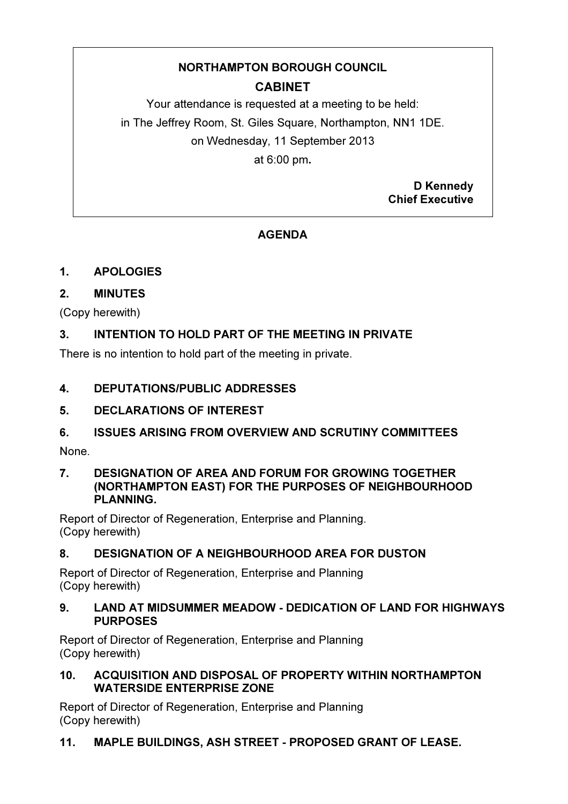# NORTHAMPTON BOROUGH COUNCIL

# CABINET

Your attendance is requested at a meeting to be held: in The Jeffrey Room, St. Giles Square, Northampton, NN1 1DE. on Wednesday, 11 September 2013 at 6:00 pm.

> D Kennedy Chief Executive

# **AGENDA**

# 1. APOLOGIES

# 2. MINUTES

(Copy herewith)

# 3. INTENTION TO HOLD PART OF THE MEETING IN PRIVATE

There is no intention to hold part of the meeting in private.

# 4. DEPUTATIONS/PUBLIC ADDRESSES

# 5. DECLARATIONS OF INTEREST

# 6. ISSUES ARISING FROM OVERVIEW AND SCRUTINY COMMITTEES

None.

# 7. DESIGNATION OF AREA AND FORUM FOR GROWING TOGETHER (NORTHAMPTON EAST) FOR THE PURPOSES OF NEIGHBOURHOOD PLANNING.

Report of Director of Regeneration, Enterprise and Planning. (Copy herewith)

# 8. DESIGNATION OF A NEIGHBOURHOOD AREA FOR DUSTON

Report of Director of Regeneration, Enterprise and Planning (Copy herewith)

# 9. LAND AT MIDSUMMER MEADOW - DEDICATION OF LAND FOR HIGHWAYS PURPOSES

Report of Director of Regeneration, Enterprise and Planning (Copy herewith)

# 10. ACQUISITION AND DISPOSAL OF PROPERTY WITHIN NORTHAMPTON WATERSIDE ENTERPRISE ZONE

Report of Director of Regeneration, Enterprise and Planning (Copy herewith)

# 11. MAPLE BUILDINGS, ASH STREET - PROPOSED GRANT OF LEASE.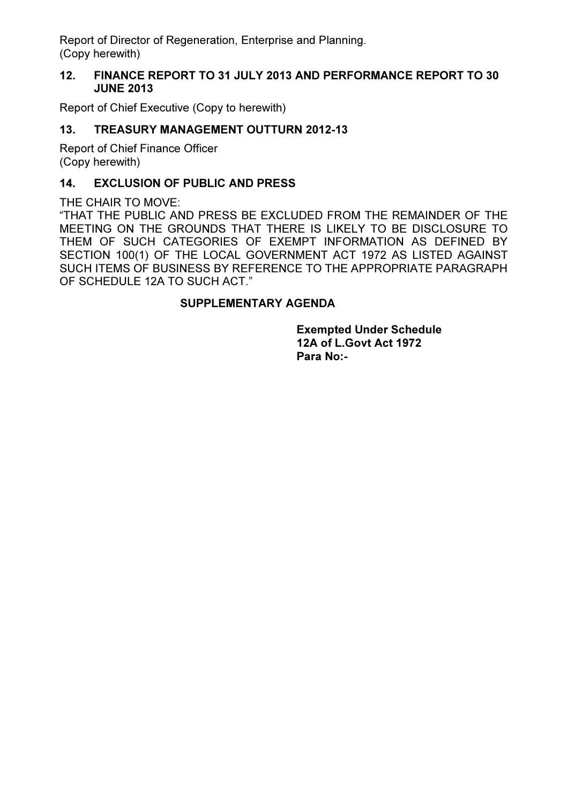Report of Director of Regeneration, Enterprise and Planning. (Copy herewith)

# 12. FINANCE REPORT TO 31 JULY 2013 AND PERFORMANCE REPORT TO 30 JUNE 2013

Report of Chief Executive (Copy to herewith)

# 13. TREASURY MANAGEMENT OUTTURN 2012-13

Report of Chief Finance Officer (Copy herewith)

# 14. EXCLUSION OF PUBLIC AND PRESS

THE CHAIR TO MOVE:

"THAT THE PUBLIC AND PRESS BE EXCLUDED FROM THE REMAINDER OF THE MEETING ON THE GROUNDS THAT THERE IS LIKELY TO BE DISCLOSURE TO THEM OF SUCH CATEGORIES OF EXEMPT INFORMATION AS DEFINED BY SECTION 100(1) OF THE LOCAL GOVERNMENT ACT 1972 AS LISTED AGAINST SUCH ITEMS OF BUSINESS BY REFERENCE TO THE APPROPRIATE PARAGRAPH OF SCHEDULE 12A TO SUCH ACT."

# SUPPLEMENTARY AGENDA

Exempted Under Schedule 12A of L.Govt Act 1972 Para No:-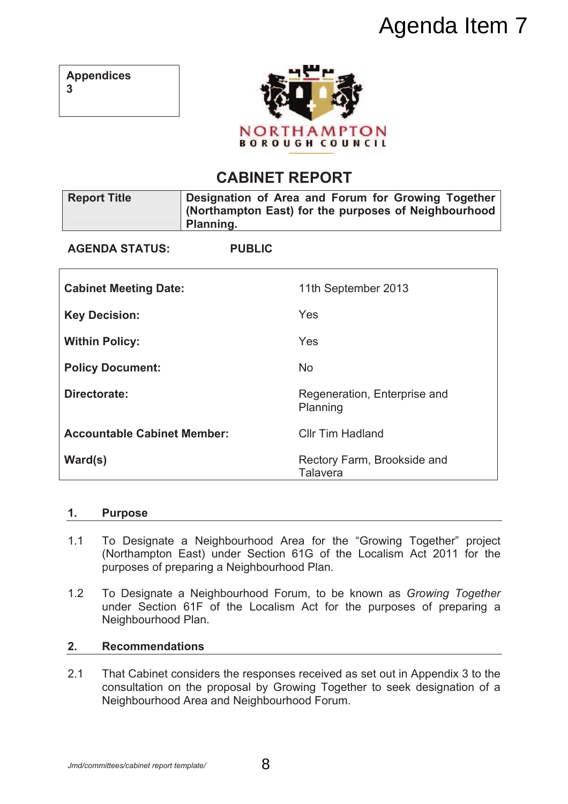# Agenda Item 7

| <b>Appendices</b> |  |
|-------------------|--|
| 3                 |  |



# **CABINET REPORT**

| <b>Report Title</b>                | Planning.     | Designation of Area and Forum for Growing Together<br>(Northampton East) for the purposes of Neighbourhood |
|------------------------------------|---------------|------------------------------------------------------------------------------------------------------------|
| <b>AGENDA STATUS:</b>              | <b>PUBLIC</b> |                                                                                                            |
| <b>Cabinet Meeting Date:</b>       |               | 11th September 2013                                                                                        |
| <b>Key Decision:</b>               |               | Yes                                                                                                        |
| <b>Within Policy:</b>              |               | Yes                                                                                                        |
| <b>Policy Document:</b>            |               | <b>No</b>                                                                                                  |
| Directorate:                       |               | Regeneration, Enterprise and<br>Planning                                                                   |
| <b>Accountable Cabinet Member:</b> |               | <b>Cllr Tim Hadland</b>                                                                                    |
| Ward(s)                            |               | Rectory Farm, Brookside and<br><b>Talavera</b>                                                             |

# **1. Purpose**

- 1.1 To Designate a Neighbourhood Area for the "Growing Together" project (Northampton East) under Section 61G of the Localism Act 2011 for the purposes of preparing a Neighbourhood Plan.
- 1.2 To Designate a Neighbourhood Forum, to be known as *Growing Together* under Section 61F of the Localism Act for the purposes of preparing a Neighbourhood Plan.

# **2. Recommendations**

2.1 That Cabinet considers the responses received as set out in Appendix 3 to the consultation on the proposal by Growing Together to seek designation of a Neighbourhood Area and Neighbourhood Forum.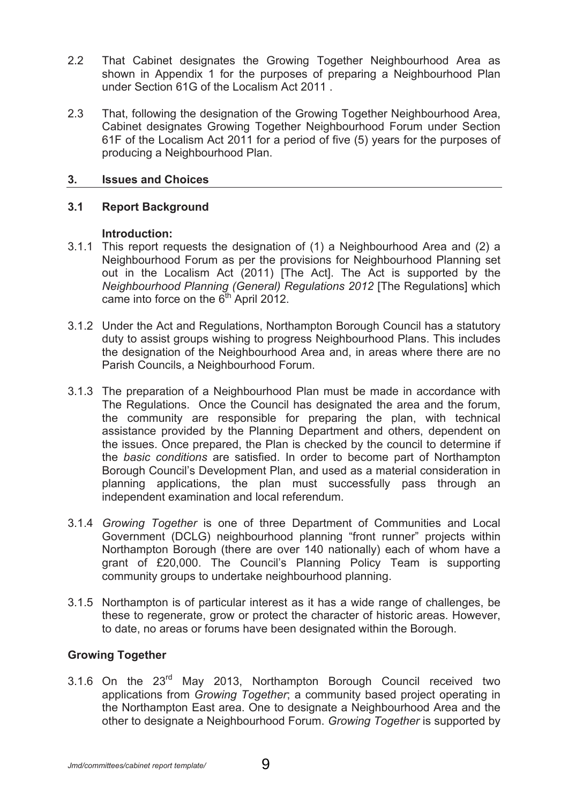- 2.2 That Cabinet designates the Growing Together Neighbourhood Area as shown in Appendix 1 for the purposes of preparing a Neighbourhood Plan under Section 61G of the Localism Act 2011 .
- 2.3 That, following the designation of the Growing Together Neighbourhood Area, Cabinet designates Growing Together Neighbourhood Forum under Section 61F of the Localism Act 2011 for a period of five (5) years for the purposes of producing a Neighbourhood Plan.

# **3. Issues and Choices**

# **3.1 Report Background**

# **Introduction:**

- 3.1.1 This report requests the designation of (1) a Neighbourhood Area and (2) a Neighbourhood Forum as per the provisions for Neighbourhood Planning set out in the Localism Act (2011) [The Act]. The Act is supported by the *Neighbourhood Planning (General) Regulations 2012* [The Regulations] which came into force on the  $6<sup>th</sup>$  April 2012.
- 3.1.2 Under the Act and Regulations, Northampton Borough Council has a statutory duty to assist groups wishing to progress Neighbourhood Plans. This includes the designation of the Neighbourhood Area and, in areas where there are no Parish Councils, a Neighbourhood Forum.
- 3.1.3 The preparation of a Neighbourhood Plan must be made in accordance with The Regulations. Once the Council has designated the area and the forum, the community are responsible for preparing the plan, with technical assistance provided by the Planning Department and others, dependent on the issues. Once prepared, the Plan is checked by the council to determine if the *basic conditions* are satisfied. In order to become part of Northampton Borough Council's Development Plan, and used as a material consideration in planning applications, the plan must successfully pass through an independent examination and local referendum.
- 3.1.4 *Growing Together* is one of three Department of Communities and Local Government (DCLG) neighbourhood planning "front runner" projects within Northampton Borough (there are over 140 nationally) each of whom have a grant of £20,000. The Council's Planning Policy Team is supporting community groups to undertake neighbourhood planning.
- 3.1.5 Northampton is of particular interest as it has a wide range of challenges, be these to regenerate, grow or protect the character of historic areas. However, to date, no areas or forums have been designated within the Borough.

# **Growing Together**

3.1.6 On the 23rd May 2013, Northampton Borough Council received two applications from *Growing Together*; a community based project operating in the Northampton East area. One to designate a Neighbourhood Area and the other to designate a Neighbourhood Forum. *Growing Together* is supported by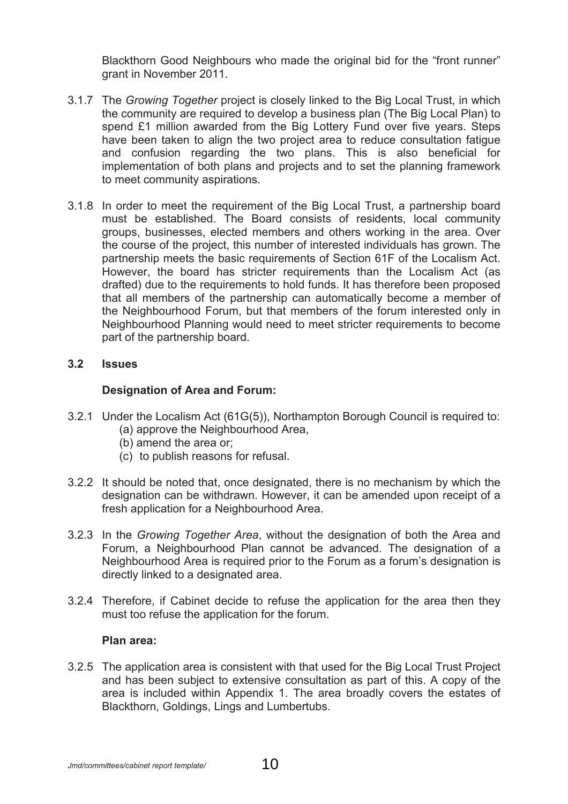Blackthorn Good Neighbours who made the original bid for the "front runner" grant in November 2011.

- 3.1.7 The *Growing Together* project is closely linked to the Big Local Trust, in which the community are required to develop a business plan (The Big Local Plan) to spend £1 million awarded from the Big Lottery Fund over five years. Steps have been taken to align the two project area to reduce consultation fatigue and confusion regarding the two plans. This is also beneficial for implementation of both plans and projects and to set the planning framework to meet community aspirations.
- 3.1.8 In order to meet the requirement of the Big Local Trust, a partnership board must be established. The Board consists of residents, local community groups, businesses, elected members and others working in the area. Over the course of the project, this number of interested individuals has grown. The partnership meets the basic requirements of Section 61F of the Localism Act. However, the board has stricter requirements than the Localism Act (as drafted) due to the requirements to hold funds. It has therefore been proposed that all members of the partnership can automatically become a member of the Neighbourhood Forum, but that members of the forum interested only in Neighbourhood Planning would need to meet stricter requirements to become part of the partnership board.

# **3.2 Issues**

# **Designation of Area and Forum:**

- 3.2.1 Under the Localism Act (61G(5)), Northampton Borough Council is required to: (a) approve the Neighbourhood Area,
	- (b) amend the area or;
	- (c) to publish reasons for refusal.
- 3.2.2 It should be noted that, once designated, there is no mechanism by which the designation can be withdrawn. However, it can be amended upon receipt of a fresh application for a Neighbourhood Area.
- 3.2.3 In the *Growing Together Area*, without the designation of both the Area and Forum, a Neighbourhood Plan cannot be advanced. The designation of a Neighbourhood Area is required prior to the Forum as a forum's designation is directly linked to a designated area.
- 3.2.4 Therefore, if Cabinet decide to refuse the application for the area then they must too refuse the application for the forum.

# **Plan area:**

3.2.5 The application area is consistent with that used for the Big Local Trust Project and has been subject to extensive consultation as part of this. A copy of the area is included within Appendix 1. The area broadly covers the estates of Blackthorn, Goldings, Lings and Lumbertubs.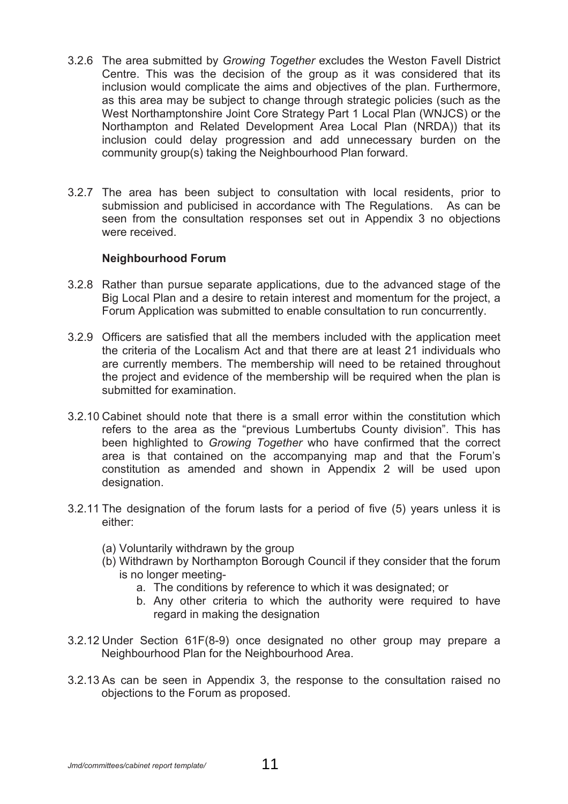- 3.2.6 The area submitted by *Growing Together* excludes the Weston Favell District Centre. This was the decision of the group as it was considered that its inclusion would complicate the aims and objectives of the plan. Furthermore, as this area may be subject to change through strategic policies (such as the West Northamptonshire Joint Core Strategy Part 1 Local Plan (WNJCS) or the Northampton and Related Development Area Local Plan (NRDA)) that its inclusion could delay progression and add unnecessary burden on the community group(s) taking the Neighbourhood Plan forward.
- 3.2.7 The area has been subject to consultation with local residents, prior to submission and publicised in accordance with The Regulations. As can be seen from the consultation responses set out in Appendix 3 no objections were received.

# **Neighbourhood Forum**

- 3.2.8 Rather than pursue separate applications, due to the advanced stage of the Big Local Plan and a desire to retain interest and momentum for the project, a Forum Application was submitted to enable consultation to run concurrently.
- 3.2.9 Officers are satisfied that all the members included with the application meet the criteria of the Localism Act and that there are at least 21 individuals who are currently members. The membership will need to be retained throughout the project and evidence of the membership will be required when the plan is submitted for examination.
- 3.2.10 Cabinet should note that there is a small error within the constitution which refers to the area as the "previous Lumbertubs County division". This has been highlighted to *Growing Together* who have confirmed that the correct area is that contained on the accompanying map and that the Forum's constitution as amended and shown in Appendix 2 will be used upon designation.
- 3.2.11 The designation of the forum lasts for a period of five (5) years unless it is either:
	- (a) Voluntarily withdrawn by the group
	- (b) Withdrawn by Northampton Borough Council if they consider that the forum is no longer meeting
		- a. The conditions by reference to which it was designated; or
		- b. Any other criteria to which the authority were required to have regard in making the designation
- 3.2.12 Under Section 61F(8-9) once designated no other group may prepare a Neighbourhood Plan for the Neighbourhood Area.
- 3.2.13 As can be seen in Appendix 3, the response to the consultation raised no objections to the Forum as proposed.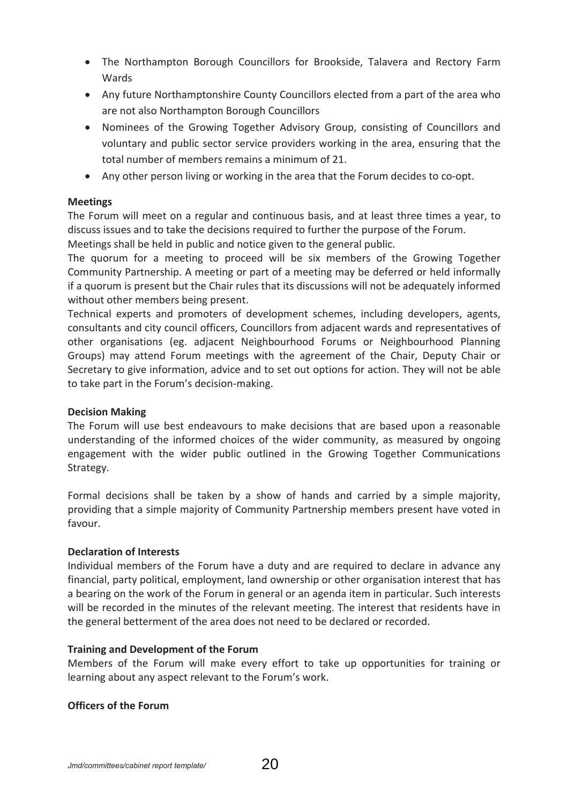- The Northampton Borough Councillors for Brookside, Talavera and Rectory Farm Wards
- Any future Northamptonshire County Councillors elected from a part of the area who are not also Northampton Borough Councillors
- Nominees of the Growing Together Advisory Group, consisting of Councillors and voluntary and public sector service providers working in the area, ensuring that the total number of members remains a minimum of 21.
- Any other person living or working in the area that the Forum decides to co-opt.

# **Meetings**

The Forum will meet on a regular and continuous basis, and at least three times a year, to discuss issues and to take the decisions required to further the purpose of the Forum.

Meetings shall be held in public and notice given to the general public.

The quorum for a meeting to proceed will be six members of the Growing Together Community Partnership. A meeting or part of a meeting may be deferred or held informally if a quorum is present but the Chair rules that its discussions will not be adequately informed without other members being present.

Technical experts and promoters of development schemes, including developers, agents, consultants and city council officers, Councillors from adjacent wards and representatives of other organisations (eg. adjacent Neighbourhood Forums or Neighbourhood Planning Groups) may attend Forum meetings with the agreement of the Chair, Deputy Chair or Secretary to give information, advice and to set out options for action. They will not be able to take part in the Forum's decision-making.

# **Decision Making**

The Forum will use best endeavours to make decisions that are based upon a reasonable understanding of the informed choices of the wider community, as measured by ongoing engagement with the wider public outlined in the Growing Together Communications Strategy.

Formal decisions shall be taken by a show of hands and carried by a simple majority, providing that a simple majority of Community Partnership members present have voted in favour.

# **Declaration of Interests**

Individual members of the Forum have a duty and are required to declare in advance any financial, party political, employment, land ownership or other organisation interest that has a bearing on the work of the Forum in general or an agenda item in particular. Such interests will be recorded in the minutes of the relevant meeting. The interest that residents have in the general betterment of the area does not need to be declared or recorded.

# **Training and Development of the Forum**

Members of the Forum will make every effort to take up opportunities for training or learning about any aspect relevant to the Forum's work.

# **Officers of the Forum**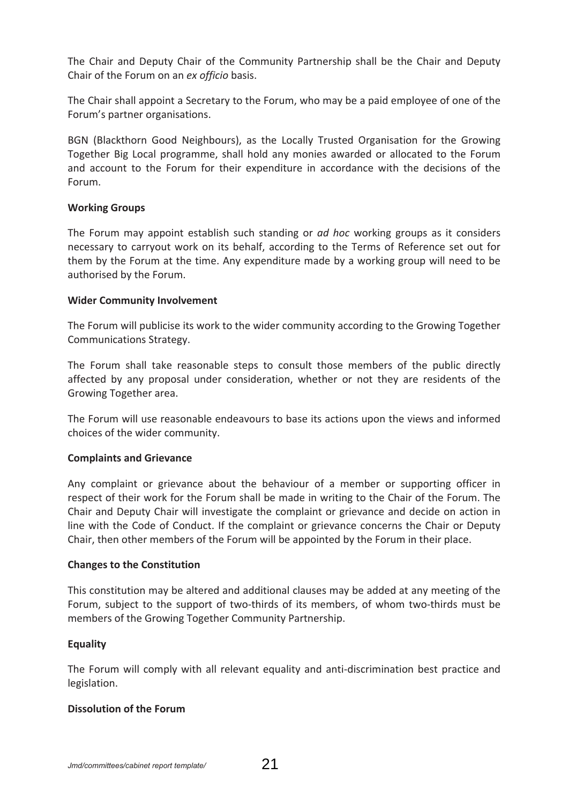The Chair and Deputy Chair of the Community Partnership shall be the Chair and Deputy Chair of the Forum on an *ex officio* basis.

The Chair shall appoint a Secretary to the Forum, who may be a paid employee of one of the Forum's partner organisations.

BGN (Blackthorn Good Neighbours), as the Locally Trusted Organisation for the Growing Together Big Local programme, shall hold any monies awarded or allocated to the Forum and account to the Forum for their expenditure in accordance with the decisions of the Forum.

# **Working Groups**

The Forum may appoint establish such standing or *ad hoc* working groups as it considers necessary to carryout work on its behalf, according to the Terms of Reference set out for them by the Forum at the time. Any expenditure made by a working group will need to be authorised by the Forum.

# **Wider Community Involvement**

The Forum will publicise its work to the wider community according to the Growing Together Communications Strategy.

The Forum shall take reasonable steps to consult those members of the public directly affected by any proposal under consideration, whether or not they are residents of the Growing Together area.

The Forum will use reasonable endeavours to base its actions upon the views and informed choices of the wider community.

# **Complaints and Grievance**

Any complaint or grievance about the behaviour of a member or supporting officer in respect of their work for the Forum shall be made in writing to the Chair of the Forum. The Chair and Deputy Chair will investigate the complaint or grievance and decide on action in line with the Code of Conduct. If the complaint or grievance concerns the Chair or Deputy Chair, then other members of the Forum will be appointed by the Forum in their place.

# **Changes to the Constitution**

This constitution may be altered and additional clauses may be added at any meeting of the Forum, subject to the support of two-thirds of its members, of whom two-thirds must be members of the Growing Together Community Partnership.

# **Equality**

The Forum will comply with all relevant equality and anti-discrimination best practice and legislation.

# **Dissolution of the Forum**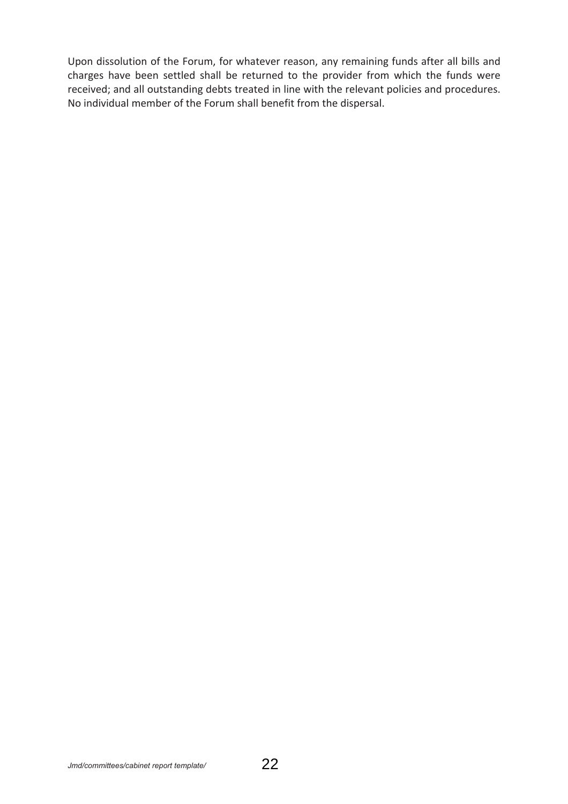Upon dissolution of the Forum, for whatever reason, any remaining funds after all bills and charges have been settled shall be returned to the provider from which the funds were received; and all outstanding debts treated in line with the relevant policies and procedures. No individual member of the Forum shall benefit from the dispersal.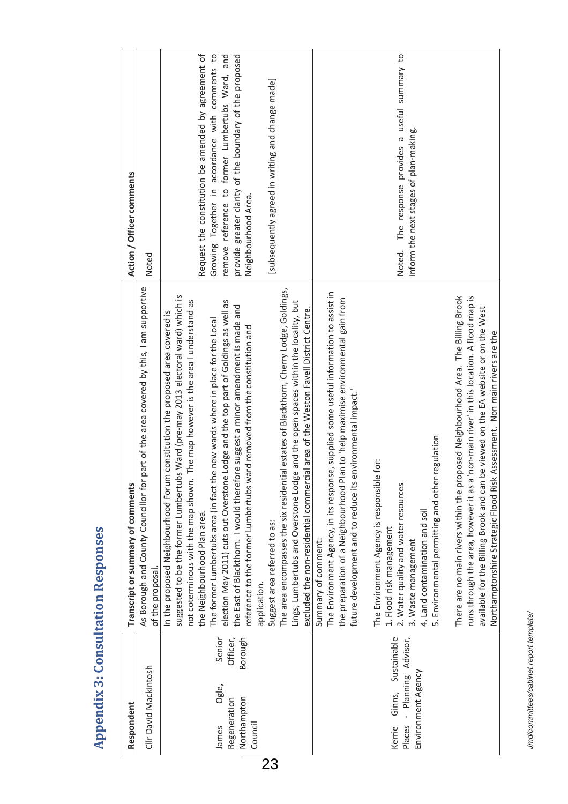| Action / Officer comments         | Noted<br>part of the area covered by this, I am supportive | Request the constitution be amended by agreement of<br>Growing Together in accordance with comments to<br>remove reference to former Lumbertubs Ward, and<br>provide greater clarity of the boundary of the proposed<br>[subsequently agreed in writing and change made]<br>Neighbourhood Area.<br>The map however is the area I understand as                                                                                                                                                                                                                                                                                                                                                                                                                                                                                                                                                           | Noted. The response provides a useful summary to<br>inform the next stages of plan-making.                                                                                                                                                                                                                                                                                                                                                                                                                                                                                            |
|-----------------------------------|------------------------------------------------------------|----------------------------------------------------------------------------------------------------------------------------------------------------------------------------------------------------------------------------------------------------------------------------------------------------------------------------------------------------------------------------------------------------------------------------------------------------------------------------------------------------------------------------------------------------------------------------------------------------------------------------------------------------------------------------------------------------------------------------------------------------------------------------------------------------------------------------------------------------------------------------------------------------------|---------------------------------------------------------------------------------------------------------------------------------------------------------------------------------------------------------------------------------------------------------------------------------------------------------------------------------------------------------------------------------------------------------------------------------------------------------------------------------------------------------------------------------------------------------------------------------------|
| Transcript or summary of comments | As Borough and County Councillor for<br>of the proposal    | The area encompasses the six residential estates of Blackthorn, Cherry Lodge, Goldings,<br>suggested to be the former Lumbertubs Ward (pre-may 2013 electoral ward) which is<br>election May 2011) cuts out Overstone Lodge and the top part of Goldings as well as<br>Lings, Lumbertubs and Overstone Lodge and the open spaces within the locality, but<br>the East of Blackthorn. I would therefore suggest a minor amendment is made and<br>excluded the non-residential commercial area of the Weston Favell District Centre.<br>In the proposed Neighbourhood Forum constitution the proposed area covered is<br>The former Lumbertubs area (in fact the new wards where in place for the Local<br>reference to the former Lumbertubs ward removed from the constitution and<br>not coterminous with the map shown.<br>the Neighbourhood Plan area<br>Suggest area referred to as:<br>application. | The Environment Agency, in its response, supplied some useful information to assist in<br>There are no main rivers within the proposed Neighbourhood Area. The Billing Brook<br>the preparation of a Neighbourhood Plan to 'help maximise environmental gain from<br>future development and to reduce its environmental impact.<br>5. Environmental permitting and other regulation<br>The Environment Agency is responsible for:<br>2. Water quality and water resources<br>4. Land contamination and soil<br>1. Flood risk management<br>Summary of comment:<br>3. Waste management |
| Respondent                        | Clir David Mackintosh                                      | Senior<br>Officer,<br>Borough<br>Ogle,<br>Regeneration<br>Northampton<br>Council<br>James                                                                                                                                                                                                                                                                                                                                                                                                                                                                                                                                                                                                                                                                                                                                                                                                                | Sustainable<br>- Planning Advisor,<br>Environment Agency<br>Ginns,<br>Places<br>Kerrie                                                                                                                                                                                                                                                                                                                                                                                                                                                                                                |

# **Appendix 3: Consultation Responses 3: Consultation Responses**